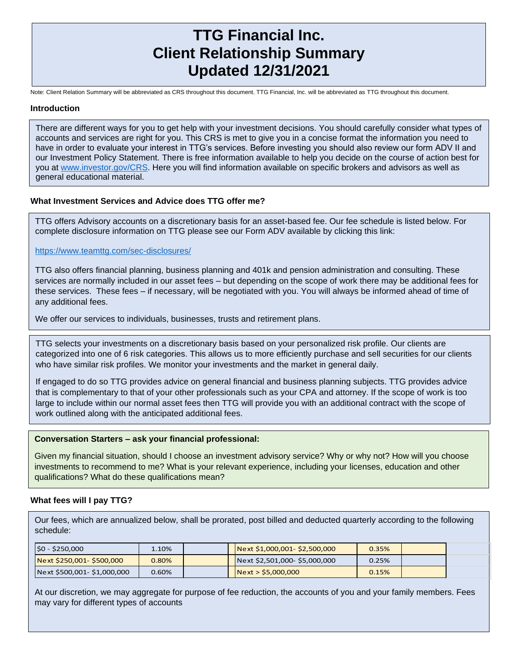# **TTG Financial Inc. Client Relationship Summary Updated 12/31/2021**

Note: Client Relation Summary will be abbreviated as CRS throughout this document. TTG Financial, Inc. will be abbreviated as TTG throughout this document.

#### **Introduction**

There are different ways for you to get help with your investment decisions. You should carefully consider what types of accounts and services are right for you. This CRS is met to give you in a concise format the information you need to have in order to evaluate your interest in TTG's services. Before investing you should also review our form ADV II and our Investment Policy Statement. There is free information available to help you decide on the course of action best for you at [www.investor.gov/](http://www.investor.gov/)CRS. Here you will find information available on specific brokers and advisors as well as general educational material.

#### **What Investment Services and Advice does TTG offer me?**

TTG offers Advisory accounts on a discretionary basis for an asset-based fee. Our fee schedule is listed below. For complete disclosure information on TTG please see our Form ADV available by clicking this link:

<https://www.teamttg.com/sec-disclosures/>

TTG also offers financial planning, business planning and 401k and pension administration and consulting. These services are normally included in our asset fees – but depending on the scope of work there may be additional fees for these services. These fees – if necessary, will be negotiated with you. You will always be informed ahead of time of any additional fees.

We offer our services to individuals, businesses, trusts and retirement plans.

TTG selects your investments on a discretionary basis based on your personalized risk profile. Our clients are categorized into one of 6 risk categories. This allows us to more efficiently purchase and sell securities for our clients who have similar risk profiles. We monitor your investments and the market in general daily.

If engaged to do so TTG provides advice on general financial and business planning subjects. TTG provides advice that is complementary to that of your other professionals such as your CPA and attorney. If the scope of work is too large to include within our normal asset fees then TTG will provide you with an additional contract with the scope of work outlined along with the anticipated additional fees.

#### **Conversation Starters – ask your financial professional:**

Given my financial situation, should I choose an investment advisory service? Why or why not? How will you choose investments to recommend to me? What is your relevant experience, including your licenses, education and other qualifications? What do these qualifications mean?

#### **What fees will I pay TTG?**

Our fees, which are annualized below, shall be prorated, post billed and deducted quarterly according to the following schedule:

| $ $0 - $250,000$            | $1.10\%$ . |  | $Next$ \$1,000,001-\$2,500,000 | 0.35% |  |
|-----------------------------|------------|--|--------------------------------|-------|--|
| Next \$250,001-\$500,000    | 0.80%      |  | Next \$2,501,000-\$5,000,000   | 0.25% |  |
| Next \$500,001- \$1,000,000 | $0.60\%$   |  | Next > \$5,000,000             | 0.15% |  |

**What fees Will I Pay TTG? Continued** At our discretion, we may aggregate for purpose of fee reduction, the accounts of you and your family members. Fees may vary for different types of accounts